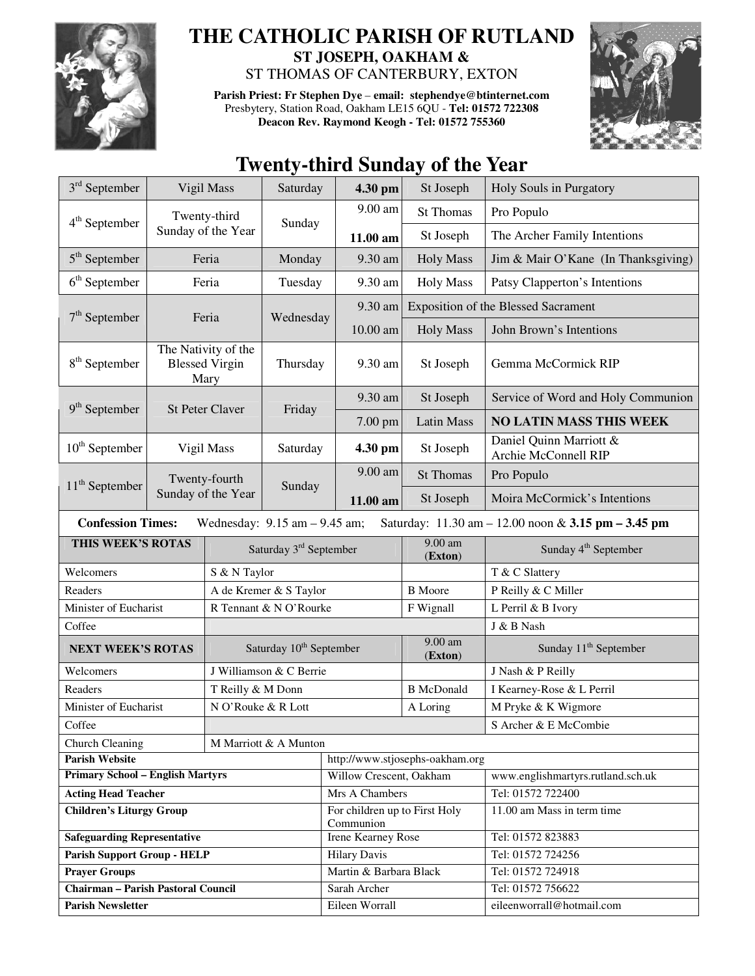

## **THE CATHOLIC PARISH OF RUTLAND ST JOSEPH, OAKHAM &**

ST THOMAS OF CANTERBURY, EXTON

**Parish Priest: Fr Stephen Dye** – **email: stephendye@btinternet.com** Presbytery, Station Road, Oakham LE15 6QU - **Tel: 01572 722308 Deacon Rev. Raymond Keogh - Tel: 01572 755360** 



## **Twenty-third Sunday of the Year**

| $3rd$ September                                                                                                     |                                                      | Vigil Mass                          | Saturday                           | 4.30 pm                                    | St Joseph            | Holy Souls in Purgatory                         |  |  |
|---------------------------------------------------------------------------------------------------------------------|------------------------------------------------------|-------------------------------------|------------------------------------|--------------------------------------------|----------------------|-------------------------------------------------|--|--|
|                                                                                                                     | Twenty-third                                         |                                     | Sunday                             | 9.00 am                                    | <b>St Thomas</b>     | Pro Populo                                      |  |  |
| $4th$ September                                                                                                     |                                                      | Sunday of the Year                  |                                    | 11.00 am                                   | St Joseph            | The Archer Family Intentions                    |  |  |
| $5th$ September                                                                                                     | Feria                                                |                                     | Monday                             | $9.30 \text{ am}$                          | <b>Holy Mass</b>     | Jim & Mair O'Kane (In Thanksgiving)             |  |  |
| $6th$ September                                                                                                     | Feria                                                |                                     | Tuesday                            | 9.30 am                                    | <b>Holy Mass</b>     | Patsy Clapperton's Intentions                   |  |  |
|                                                                                                                     | $7th$ September<br>Feria                             |                                     |                                    | 9.30 am                                    |                      | <b>Exposition of the Blessed Sacrament</b>      |  |  |
|                                                                                                                     |                                                      |                                     | Wednesday                          | 10.00 am                                   | <b>Holy Mass</b>     | John Brown's Intentions                         |  |  |
| $8th$ September                                                                                                     | The Nativity of the<br><b>Blessed Virgin</b><br>Mary |                                     | Thursday                           | 9.30 am                                    | St Joseph            | Gemma McCormick RIP                             |  |  |
| $9th$ September                                                                                                     |                                                      |                                     | Friday                             | 9.30 am                                    | St Joseph            | Service of Word and Holy Communion              |  |  |
|                                                                                                                     |                                                      | <b>St Peter Claver</b>              |                                    | 7.00 pm                                    | <b>Latin Mass</b>    | <b>NO LATIN MASS THIS WEEK</b>                  |  |  |
| $10th$ September                                                                                                    | Vigil Mass                                           |                                     | Saturday                           | 4.30 pm                                    | St Joseph            | Daniel Quinn Marriott &<br>Archie McConnell RIP |  |  |
| 11 <sup>th</sup> September                                                                                          | Twenty-fourth                                        |                                     | Sunday                             | 9.00 am                                    | <b>St Thomas</b>     | Pro Populo                                      |  |  |
|                                                                                                                     |                                                      | Sunday of the Year                  |                                    | 11.00 am                                   | St Joseph            | Moira McCormick's Intentions                    |  |  |
| <b>Confession Times:</b><br>Wednesday: $9.15$ am $-9.45$ am;<br>Saturday: 11.30 am - 12.00 noon & 3.15 pm - 3.45 pm |                                                      |                                     |                                    |                                            |                      |                                                 |  |  |
| THIS WEEK'S ROTAS                                                                                                   |                                                      |                                     | Saturday 3 <sup>rd</sup> September |                                            | 9.00 am<br>(Exton)   | Sunday 4 <sup>th</sup> September                |  |  |
| Welcomers                                                                                                           |                                                      | S & N Taylor                        |                                    |                                            |                      | T & C Slattery                                  |  |  |
| Readers                                                                                                             |                                                      | A de Kremer & S Taylor              |                                    |                                            | <b>B</b> Moore       | P Reilly & C Miller                             |  |  |
| Minister of Eucharist                                                                                               |                                                      | R Tennant & N O'Rourke              |                                    |                                            | F Wignall            | L Perril & B Ivory                              |  |  |
| Coffee                                                                                                              |                                                      |                                     |                                    |                                            |                      | J & B Nash                                      |  |  |
| <b>NEXT WEEK'S ROTAS</b>                                                                                            |                                                      | Saturday 10 <sup>th</sup> September |                                    |                                            | $9.00$ am<br>(Exton) | Sunday 11 <sup>th</sup> September               |  |  |
| Welcomers                                                                                                           |                                                      | J Williamson & C Berrie             |                                    |                                            |                      | J Nash & P Reilly                               |  |  |
| Readers                                                                                                             |                                                      | T Reilly & M Donn                   |                                    |                                            | <b>B</b> McDonald    | I Kearney-Rose & L Perril                       |  |  |
| Minister of Eucharist                                                                                               |                                                      | N O'Rouke & R Lott                  |                                    |                                            | A Loring             | M Pryke & K Wigmore                             |  |  |
| Coffee                                                                                                              |                                                      |                                     |                                    |                                            |                      | S Archer & E McCombie                           |  |  |
| <b>Church Cleaning</b><br>M Marriott & A Munton                                                                     |                                                      |                                     |                                    |                                            |                      |                                                 |  |  |
| <b>Parish Website</b>                                                                                               |                                                      |                                     |                                    | http://www.stjosephs-oakham.org            |                      |                                                 |  |  |
| <b>Primary School - English Martyrs</b>                                                                             |                                                      |                                     |                                    | Willow Crescent, Oakham                    |                      | www.englishmartyrs.rutland.sch.uk               |  |  |
| <b>Acting Head Teacher</b>                                                                                          |                                                      |                                     |                                    | Mrs A Chambers                             |                      | Tel: 01572 722400                               |  |  |
| <b>Children's Liturgy Group</b>                                                                                     |                                                      |                                     |                                    | For children up to First Holy<br>Communion |                      | 11.00 am Mass in term time                      |  |  |
| <b>Safeguarding Representative</b>                                                                                  |                                                      |                                     |                                    | Irene Kearney Rose                         |                      | Tel: 01572 823883                               |  |  |
| <b>Parish Support Group - HELP</b>                                                                                  |                                                      |                                     |                                    | <b>Hilary Davis</b>                        |                      | Tel: 01572 724256                               |  |  |
| <b>Prayer Groups</b>                                                                                                |                                                      |                                     |                                    | Martin & Barbara Black                     |                      | Tel: 01572 724918                               |  |  |
| <b>Chairman - Parish Pastoral Council</b>                                                                           |                                                      |                                     |                                    | Sarah Archer                               |                      | Tel: 01572 756622                               |  |  |
| <b>Parish Newsletter</b>                                                                                            |                                                      |                                     |                                    | Eileen Worrall                             |                      | eileenworrall@hotmail.com                       |  |  |